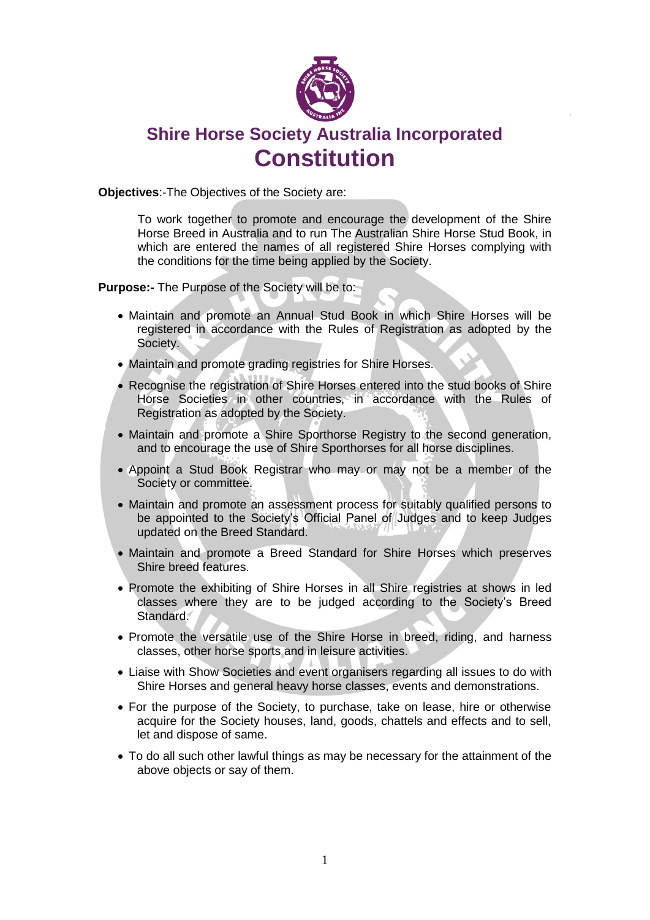

# **Shire Horse Society Australia Incorporated Constitution**

**Objectives**:-The Objectives of the Society are:

To work together to promote and encourage the development of the Shire Horse Breed in Australia and to run The Australian Shire Horse Stud Book, in which are entered the names of all registered Shire Horses complying with the conditions for the time being applied by the Society.

**Purpose:-** The Purpose of the Society will be to:

- Maintain and promote an Annual Stud Book in which Shire Horses will be registered in accordance with the Rules of Registration as adopted by the Society.
- Maintain and promote grading registries for Shire Horses.
- Recognise the registration of Shire Horses entered into the stud books of Shire Horse Societies in other countries, in accordance with the Rules of Registration as adopted by the Society.
- Maintain and promote a Shire Sporthorse Registry to the second generation, and to encourage the use of Shire Sporthorses for all horse disciplines.
- Appoint a Stud Book Registrar who may or may not be a member of the Society or committee.
- Maintain and promote an assessment process for suitably qualified persons to be appointed to the Society's Official Panel of Judges and to keep Judges updated on the Breed Standard.
- Maintain and promote a Breed Standard for Shire Horses which preserves Shire breed features.
- Promote the exhibiting of Shire Horses in all Shire registries at shows in led classes where they are to be judged according to the Society's Breed Standard.
- Promote the versatile use of the Shire Horse in breed, riding, and harness classes, other horse sports and in leisure activities.
- Liaise with Show Societies and event organisers regarding all issues to do with Shire Horses and general heavy horse classes, events and demonstrations.
- For the purpose of the Society, to purchase, take on lease, hire or otherwise acquire for the Society houses, land, goods, chattels and effects and to sell, let and dispose of same.
- To do all such other lawful things as may be necessary for the attainment of the above objects or say of them.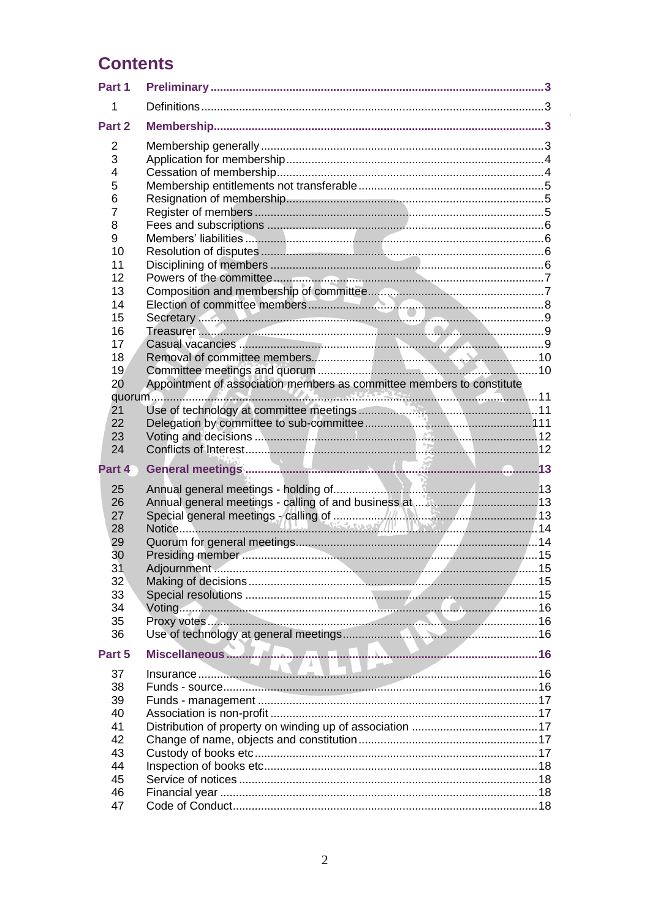# **Contents**

| Part 1                                                                         |                                                                       |  |
|--------------------------------------------------------------------------------|-----------------------------------------------------------------------|--|
| 1                                                                              |                                                                       |  |
| Part 2                                                                         |                                                                       |  |
| 2<br>3<br>4<br>5<br>6<br>$\overline{7}$<br>8<br>9<br>10<br>11<br>12<br>13      |                                                                       |  |
| 14<br>15<br>16<br>17<br>18<br>19<br>20                                         | Appointment of association members as committee members to constitute |  |
| 21<br>22<br>23<br>24                                                           |                                                                       |  |
| Part 4<br>25<br>26<br>27<br>28<br>29<br>30<br>31<br>32<br>33<br>34<br>35<br>36 | Adjournment                                                           |  |
| Part 5<br>37<br>38<br>39<br>40<br>41<br>42<br>43<br>44<br>45<br>46             |                                                                       |  |
| 47                                                                             |                                                                       |  |

 $\sim$   $\sigma$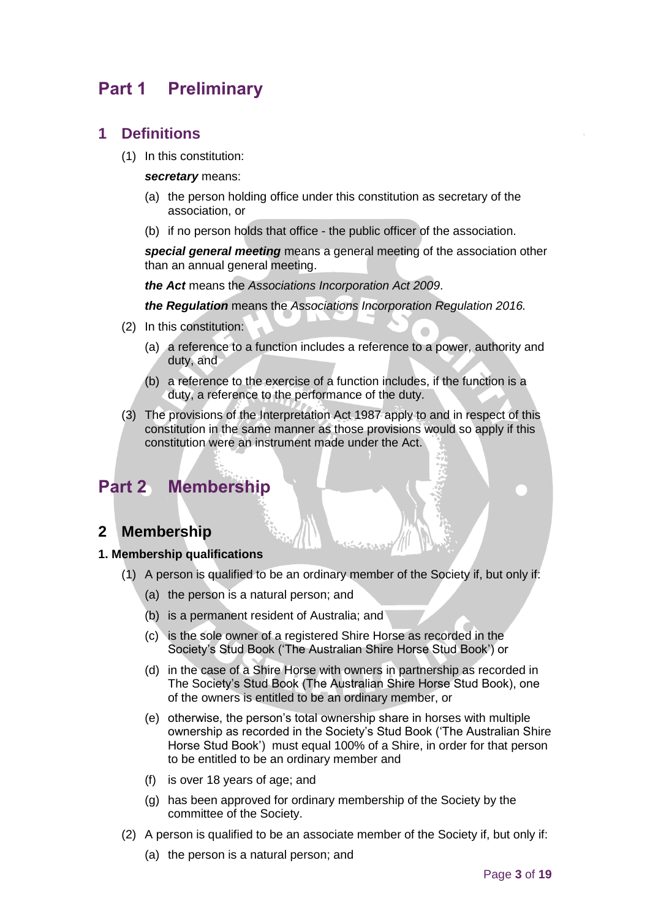## <span id="page-2-0"></span>**Part 1 Preliminary**

### <span id="page-2-1"></span>**1 Definitions**

(1) In this constitution:

#### *secretary* means:

- (a) the person holding office under this constitution as secretary of the association, or
- (b) if no person holds that office the public officer of the association.

*special general meeting* means a general meeting of the association other than an annual general meeting.

*the Act* means the *[Associations Incorporation Act 2009](http://www.legislation.nsw.gov.au/xref/inforce/?xref=Type%3Dact%20AND%20Year%3D2009%20AND%20no%3D7&nohits=y)*.

*the Regulation* means the *[Associations Incorporation Regulation 2016.](http://www.legislation.nsw.gov.au/xref/inforce/?xref=Type%3Dsubordleg%20AND%20Year%3D2010%20AND%20No%3D238&nohits=y)*

- (2) In this constitution:
	- (a) a reference to a function includes a reference to a power, authority and duty, and
	- (b) a reference to the exercise of a function includes, if the function is a duty, a reference to the performance of the duty.
- <span id="page-2-2"></span>(3) The provisions of the [Interpretation Act 1987](http://www.legislation.nsw.gov.au/xref/inforce/?xref=Type%3Dact%20AND%20Year%3D1987%20AND%20no%3D15&nohits=y) apply to and in respect of this constitution in the same manner as those provisions would so apply if this constitution were an instrument made under the Act.

## **Part 2 Membership**

## <span id="page-2-3"></span>**2 Membership**

#### **1. Membership qualifications**

- (1) A person is qualified to be an ordinary member of the Society if, but only if:
	- (a) the person is a natural person; and
	- (b) is a permanent resident of Australia; and
	- (c) is the sole owner of a registered Shire Horse as recorded in the Society's Stud Book ('The Australian Shire Horse Stud Book') or
	- (d) in the case of a Shire Horse with owners in partnership as recorded in The Society's Stud Book (The Australian Shire Horse Stud Book), one of the owners is entitled to be an ordinary member, or
	- (e) otherwise, the person's total ownership share in horses with multiple ownership as recorded in the Society's Stud Book ('The Australian Shire Horse Stud Book') must equal 100% of a Shire, in order for that person to be entitled to be an ordinary member and
	- (f) is over 18 years of age; and
	- (g) has been approved for ordinary membership of the Society by the committee of the Society.
- (2) A person is qualified to be an associate member of the Society if, but only if:
	- (a) the person is a natural person; and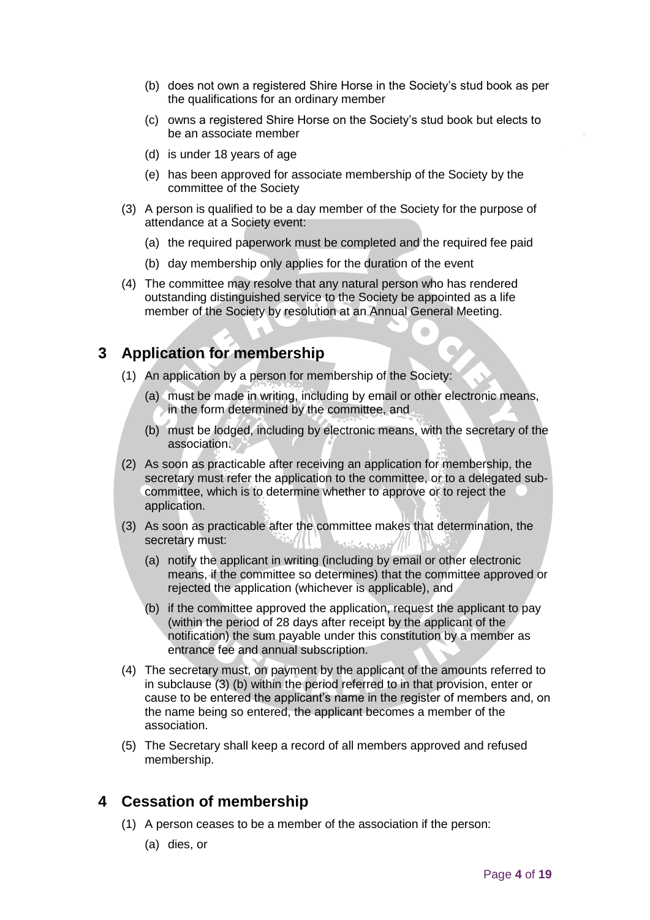- (b) does not own a registered Shire Horse in the Society's stud book as per the qualifications for an ordinary member
- (c) owns a registered Shire Horse on the Society's stud book but elects to be an associate member
- (d) is under 18 years of age
- (e) has been approved for associate membership of the Society by the committee of the Society
- (3) A person is qualified to be a day member of the Society for the purpose of attendance at a Society event:
	- (a) the required paperwork must be completed and the required fee paid
	- (b) day membership only applies for the duration of the event
- (4) The committee may resolve that any natural person who has rendered outstanding distinguished service to the Society be appointed as a life member of the Society by resolution at an Annual General Meeting.

## <span id="page-3-0"></span>**3 Application for membership**

- (1) An application by a person for membership of the Society:
	- (a) must be made in writing, including by email or other electronic means, in the form determined by the committee, and

 $\bullet$ 

- (b) must be lodged, including by electronic means, with the secretary of the association.
- (2) As soon as practicable after receiving an application for membership, the secretary must refer the application to the committee, or to a delegated subcommittee, which is to determine whether to approve or to reject the application.
- (3) As soon as practicable after the committee makes that determination, the secretary must:
	- (a) notify the applicant in writing (including by email or other electronic means, if the committee so determines) that the committee approved or rejected the application (whichever is applicable), and
	- (b) if the committee approved the application, request the applicant to pay (within the period of 28 days after receipt by the applicant of the notification) the sum payable under this constitution by a member as entrance fee and annual subscription.
- (4) The secretary must, on payment by the applicant of the amounts referred to in subclause (3) (b) within the period referred to in that provision, enter or cause to be entered the applicant's name in the register of members and, on the name being so entered, the applicant becomes a member of the association.
- (5) The Secretary shall keep a record of all members approved and refused membership.

## <span id="page-3-1"></span>**4 Cessation of membership**

- (1) A person ceases to be a member of the association if the person:
	- (a) dies, or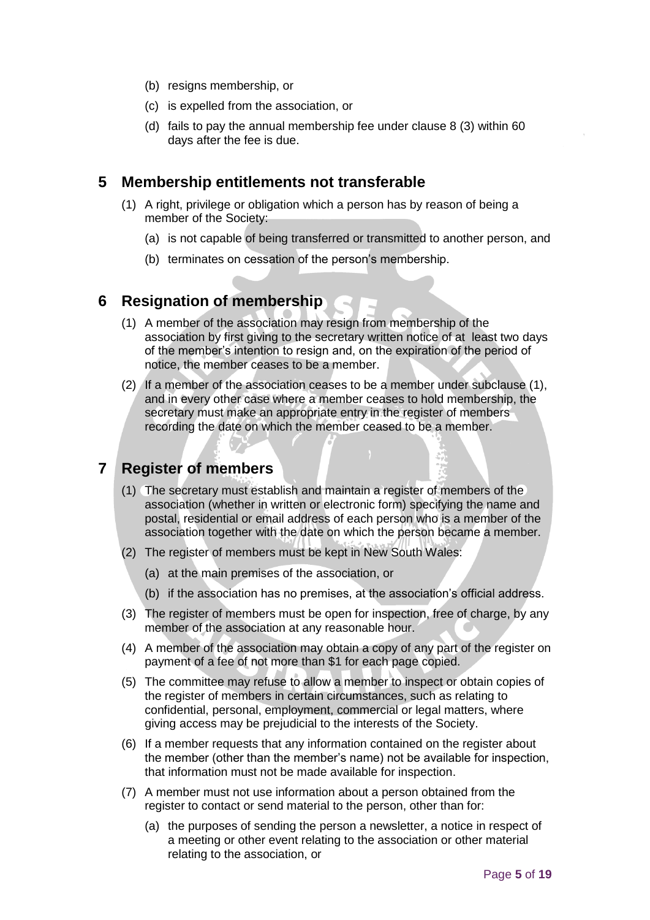- (b) resigns membership, or
- (c) is expelled from the association, or
- (d) fails to pay the annual membership fee under clause 8 (3) within 60 days after the fee is due.

### <span id="page-4-0"></span>**5 Membership entitlements not transferable**

- (1) A right, privilege or obligation which a person has by reason of being a member of the Society:
	- (a) is not capable of being transferred or transmitted to another person, and
	- (b) terminates on cessation of the person's membership.

## <span id="page-4-1"></span>**6 Resignation of membership**

- (1) A member of the association may resign from membership of the association by first giving to the secretary written notice of at least two days of the member's intention to resign and, on the expiration of the period of notice, the member ceases to be a member.
- (2) If a member of the association ceases to be a member under subclause (1), and in every other case where a member ceases to hold membership, the secretary must make an appropriate entry in the register of members recording the date on which the member ceased to be a member.

## <span id="page-4-2"></span>**7 Register of members**

- (1) The secretary must establish and maintain a register of members of the association (whether in written or electronic form) specifying the name and postal, residential or email address of each person who is a member of the association together with the date on which the person became a member.
- (2) The register of members must be kept in New South Wales:
	- (a) at the main premises of the association, or
	- (b) if the association has no premises, at the association's official address.
- (3) The register of members must be open for inspection, free of charge, by any member of the association at any reasonable hour.
- (4) A member of the association may obtain a copy of any part of the register on payment of a fee of not more than \$1 for each page copied.
- (5) The committee may refuse to allow a member to inspect or obtain copies of the register of members in certain circumstances, such as relating to confidential, personal, employment, commercial or legal matters, where giving access may be prejudicial to the interests of the Society.
- (6) If a member requests that any information contained on the register about the member (other than the member's name) not be available for inspection, that information must not be made available for inspection.
- (7) A member must not use information about a person obtained from the register to contact or send material to the person, other than for:
	- (a) the purposes of sending the person a newsletter, a notice in respect of a meeting or other event relating to the association or other material relating to the association, or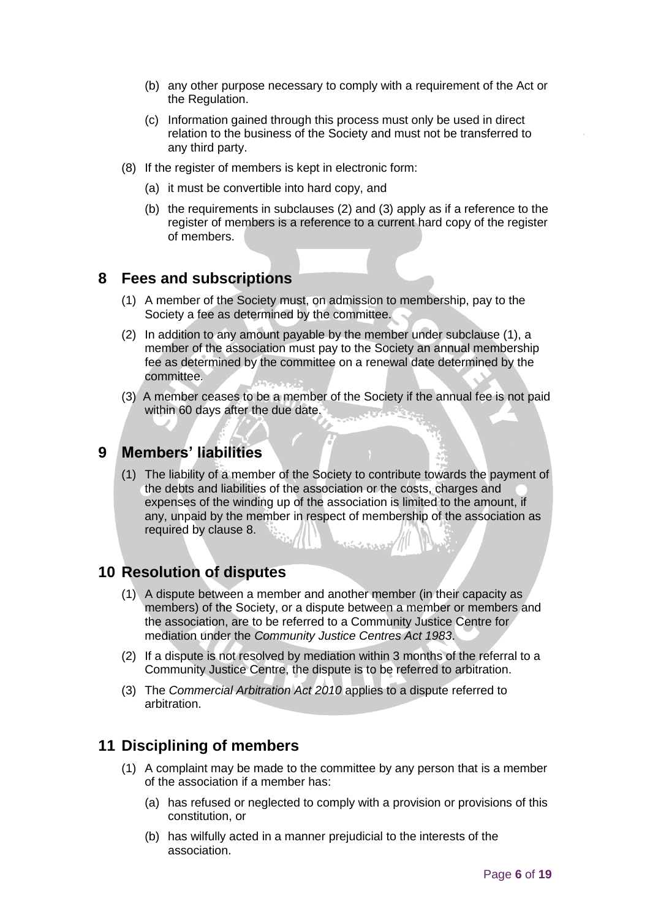- (b) any other purpose necessary to comply with a requirement of the Act or the Regulation.
- (c) Information gained through this process must only be used in direct relation to the business of the Society and must not be transferred to any third party.
- (8) If the register of members is kept in electronic form:
	- (a) it must be convertible into hard copy, and
	- (b) the requirements in subclauses (2) and (3) apply as if a reference to the register of members is a reference to a current hard copy of the register of members.

### <span id="page-5-0"></span>**8 Fees and subscriptions**

- (1) A member of the Society must, on admission to membership, pay to the Society a fee as determined by the committee.
- (2) In addition to any amount payable by the member under subclause (1), a member of the association must pay to the Society an annual membership fee as determined by the committee on a renewal date determined by the committee.
- (3) A member ceases to be a member of the Society if the annual fee is not paid within 60 days after the due date.

### <span id="page-5-1"></span>**9 Members' liabilities**

(1) The liability of a member of the Society to contribute towards the payment of the debts and liabilities of the association or the costs, charges and expenses of the winding up of the association is limited to the amount, if any, unpaid by the member in respect of membership of the association as required by clause 8.

### <span id="page-5-2"></span>**10 Resolution of disputes**

- (1) A dispute between a member and another member (in their capacity as members) of the Society, or a dispute between a member or members and the association, are to be referred to a Community Justice Centre for mediation under the *Community Justice Centres Act 1983*.
- (2) If a dispute is not resolved by mediation within 3 months of the referral to a Community Justice Centre, the dispute is to be referred to arbitration.
- (3) The *Commercial Arbitration Act 2010* applies to a dispute referred to arbitration.

### <span id="page-5-3"></span>**11 Disciplining of members**

- (1) A complaint may be made to the committee by any person that is a member of the association if a member has:
	- (a) has refused or neglected to comply with a provision or provisions of this constitution, or
	- (b) has wilfully acted in a manner prejudicial to the interests of the association.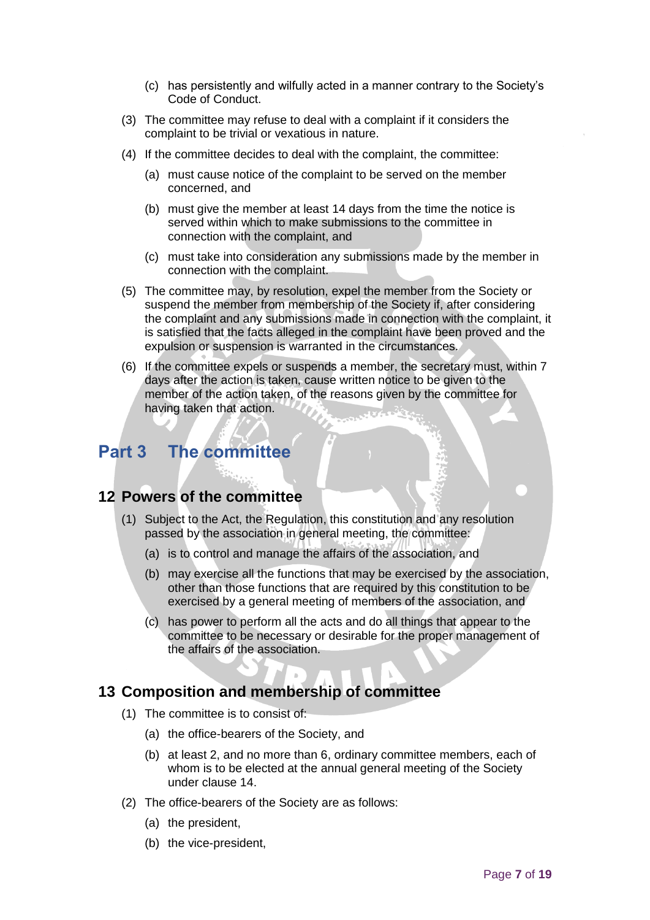- (c) has persistently and wilfully acted in a manner contrary to the Society's Code of Conduct.
- (3) The committee may refuse to deal with a complaint if it considers the complaint to be trivial or vexatious in nature.
- (4) If the committee decides to deal with the complaint, the committee:
	- (a) must cause notice of the complaint to be served on the member concerned, and
	- (b) must give the member at least 14 days from the time the notice is served within which to make submissions to the committee in connection with the complaint, and
	- (c) must take into consideration any submissions made by the member in connection with the complaint.
- (5) The committee may, by resolution, expel the member from the Society or suspend the member from membership of the Society if, after considering the complaint and any submissions made in connection with the complaint, it is satisfied that the facts alleged in the complaint have been proved and the expulsion or suspension is warranted in the circumstances.
- (6) If the committee expels or suspends a member, the secretary must, within 7 days after the action is taken, cause written notice to be given to the member of the action taken, of the reasons given by the committee for having taken that action.

## **Part 3 The committee**

### <span id="page-6-0"></span>**12 Powers of the committee**

- (1) Subject to the Act, the Regulation, this constitution and any resolution passed by the association in general meeting, the committee:
	- (a) is to control and manage the affairs of the association, and
	- (b) may exercise all the functions that may be exercised by the association, other than those functions that are required by this constitution to be exercised by a general meeting of members of the association, and
	- (c) has power to perform all the acts and do all things that appear to the committee to be necessary or desirable for the proper management of the affairs of the association.

### <span id="page-6-1"></span>**13 Composition and membership of committee**

- (1) The committee is to consist of:
	- (a) the office-bearers of the Society, and
	- (b) at least 2, and no more than 6, ordinary committee members, each of whom is to be elected at the annual general meeting of the Society under clause 14.
- (2) The office-bearers of the Society are as follows:
	- (a) the president,
	- (b) the vice-president,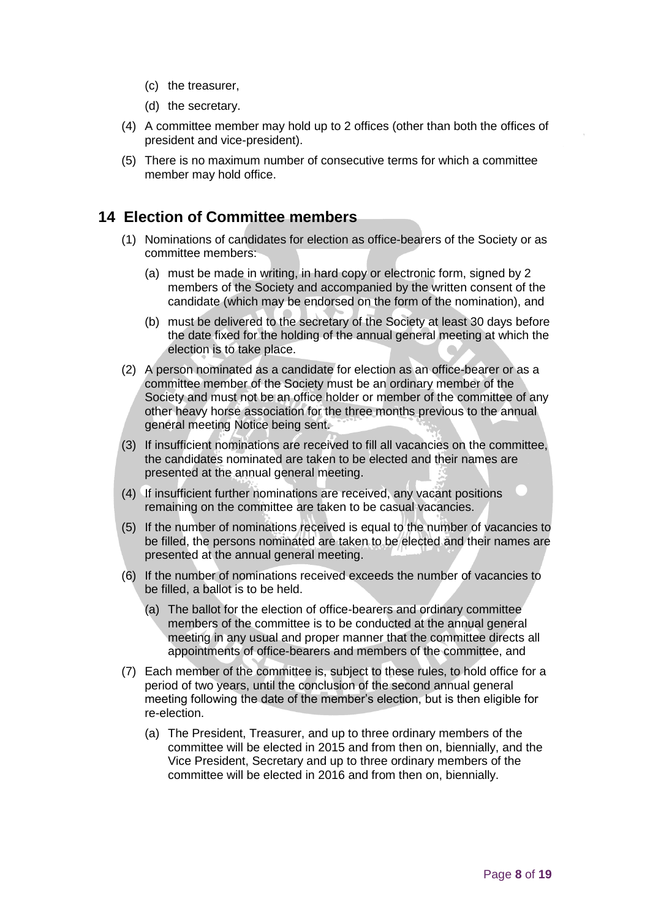- (c) the treasurer,
- (d) the secretary.
- (4) A committee member may hold up to 2 offices (other than both the offices of president and vice-president).
- (5) There is no maximum number of consecutive terms for which a committee member may hold office.

## <span id="page-7-0"></span>**14 Election of Committee members**

- (1) Nominations of candidates for election as office-bearers of the Society or as committee members:
	- (a) must be made in writing, in hard copy or electronic form, signed by 2 members of the Society and accompanied by the written consent of the candidate (which may be endorsed on the form of the nomination), and
	- (b) must be delivered to the secretary of the Society at least 30 days before the date fixed for the holding of the annual general meeting at which the election is to take place.
- (2) A person nominated as a candidate for election as an office-bearer or as a committee member of the Society must be an ordinary member of the Society and must not be an office holder or member of the committee of any other heavy horse association for the three months previous to the annual general meeting Notice being sent.
- (3) If insufficient nominations are received to fill all vacancies on the committee, the candidates nominated are taken to be elected and their names are presented at the annual general meeting.
- (4) If insufficient further nominations are received, any vacant positions remaining on the committee are taken to be casual vacancies.
- (5) If the number of nominations received is equal to the number of vacancies to be filled, the persons nominated are taken to be elected and their names are presented at the annual general meeting.
- (6) If the number of nominations received exceeds the number of vacancies to be filled, a ballot is to be held.
	- (a) The ballot for the election of office-bearers and ordinary committee members of the committee is to be conducted at the annual general meeting in any usual and proper manner that the committee directs all appointments of office-bearers and members of the committee, and
- (7) Each member of the committee is, subject to these rules, to hold office for a period of two years, until the conclusion of the second annual general meeting following the date of the member's election, but is then eligible for re-election.
	- (a) The President, Treasurer, and up to three ordinary members of the committee will be elected in 2015 and from then on, biennially, and the Vice President, Secretary and up to three ordinary members of the committee will be elected in 2016 and from then on, biennially.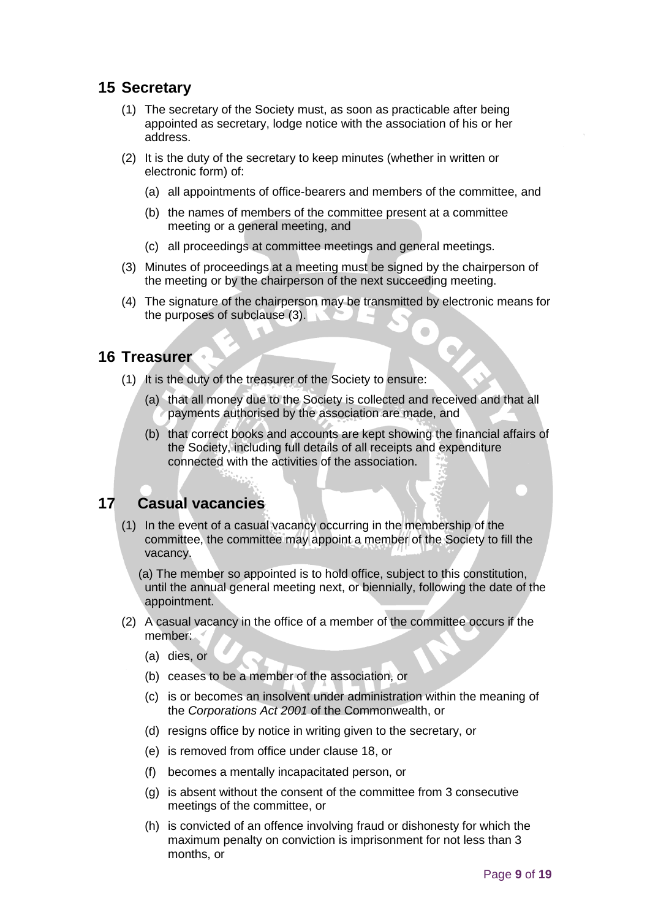## <span id="page-8-0"></span>**15 Secretary**

- (1) The secretary of the Society must, as soon as practicable after being appointed as secretary, lodge notice with the association of his or her address.
- (2) It is the duty of the secretary to keep minutes (whether in written or electronic form) of:
	- (a) all appointments of office-bearers and members of the committee, and
	- (b) the names of members of the committee present at a committee meeting or a general meeting, and
	- (c) all proceedings at committee meetings and general meetings.
- (3) Minutes of proceedings at a meeting must be signed by the chairperson of the meeting or by the chairperson of the next succeeding meeting.
- (4) The signature of the chairperson may be transmitted by electronic means for the purposes of subclause (3).

### <span id="page-8-1"></span>**16 Treasurer**

- (1) It is the duty of the treasurer of the Society to ensure:
	- (a) that all money due to the Society is collected and received and that all payments authorised by the association are made, and
	- (b) that correct books and accounts are kept showing the financial affairs of the Society, including full details of all receipts and expenditure connected with the activities of the association.

## <span id="page-8-2"></span>**17 Casual vacancies**

(1) In the event of a casual vacancy occurring in the membership of the committee, the committee may appoint a member of the Society to fill the vacancy.

 (a) The member so appointed is to hold office, subject to this constitution, until the annual general meeting next, or biennially, following the date of the appointment.

- (2) A casual vacancy in the office of a member of the committee occurs if the member:
	- (a) dies, or
	- (b) ceases to be a member of the association, or
	- (c) is or becomes an insolvent under administration within the meaning of the *[Corporations Act 2001](http://www.comlaw.gov.au/)* of the Commonwealth, or
	- (d) resigns office by notice in writing given to the secretary, or
	- (e) is removed from office under clause 18, or
	- (f) becomes a mentally incapacitated person, or
	- (g) is absent without the consent of the committee from 3 consecutive meetings of the committee, or
	- (h) is convicted of an offence involving fraud or dishonesty for which the maximum penalty on conviction is imprisonment for not less than 3 months, or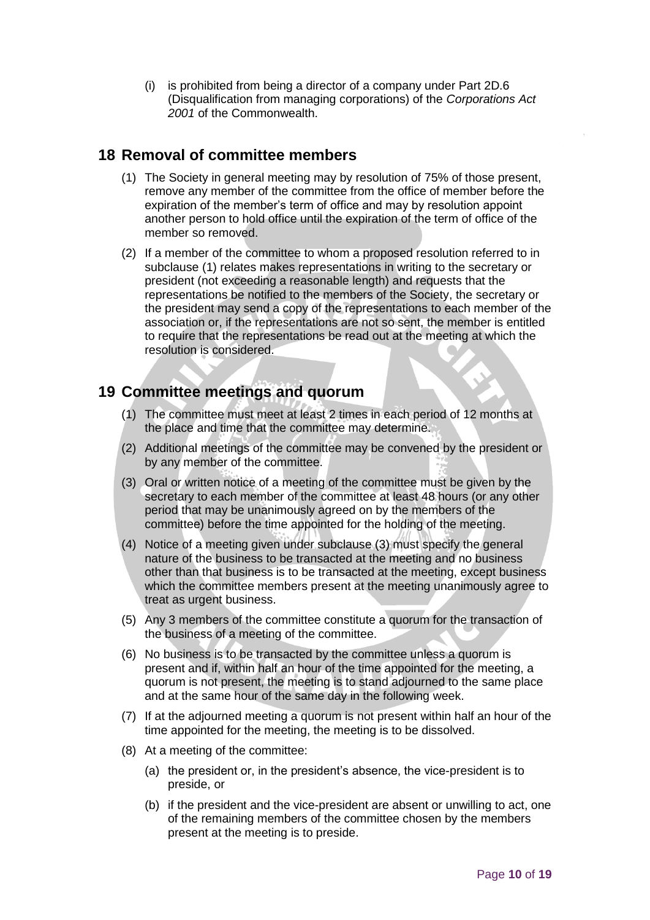(i) is prohibited from being a director of a company under Part 2D.6 (Disqualification from managing corporations) of the *[Corporations Act](http://www.comlaw.gov.au/)  [2001](http://www.comlaw.gov.au/)* of the Commonwealth.

## <span id="page-9-0"></span>**18 Removal of committee members**

- (1) The Society in general meeting may by resolution of 75% of those present, remove any member of the committee from the office of member before the expiration of the member's term of office and may by resolution appoint another person to hold office until the expiration of the term of office of the member so removed.
- (2) If a member of the committee to whom a proposed resolution referred to in subclause (1) relates makes representations in writing to the secretary or president (not exceeding a reasonable length) and requests that the representations be notified to the members of the Society, the secretary or the president may send a copy of the representations to each member of the association or, if the representations are not so sent, the member is entitled to require that the representations be read out at the meeting at which the resolution is considered.

## <span id="page-9-1"></span>**19 Committee meetings and quorum**

- (1) The committee must meet at least 2 times in each period of 12 months at the place and time that the committee may determine.
- (2) Additional meetings of the committee may be convened by the president or by any member of the committee.
- (3) Oral or written notice of a meeting of the committee must be given by the secretary to each member of the committee at least 48 hours (or any other period that may be unanimously agreed on by the members of the committee) before the time appointed for the holding of the meeting.
- (4) Notice of a meeting given under subclause (3) must specify the general nature of the business to be transacted at the meeting and no business other than that business is to be transacted at the meeting, except business which the committee members present at the meeting unanimously agree to treat as urgent business.
- (5) Any 3 members of the committee constitute a quorum for the transaction of the business of a meeting of the committee.
- (6) No business is to be transacted by the committee unless a quorum is present and if, within half an hour of the time appointed for the meeting, a quorum is not present, the meeting is to stand adjourned to the same place and at the same hour of the same day in the following week.
- (7) If at the adjourned meeting a quorum is not present within half an hour of the time appointed for the meeting, the meeting is to be dissolved.
- (8) At a meeting of the committee:
	- (a) the president or, in the president's absence, the vice-president is to preside, or
	- (b) if the president and the vice-president are absent or unwilling to act, one of the remaining members of the committee chosen by the members present at the meeting is to preside.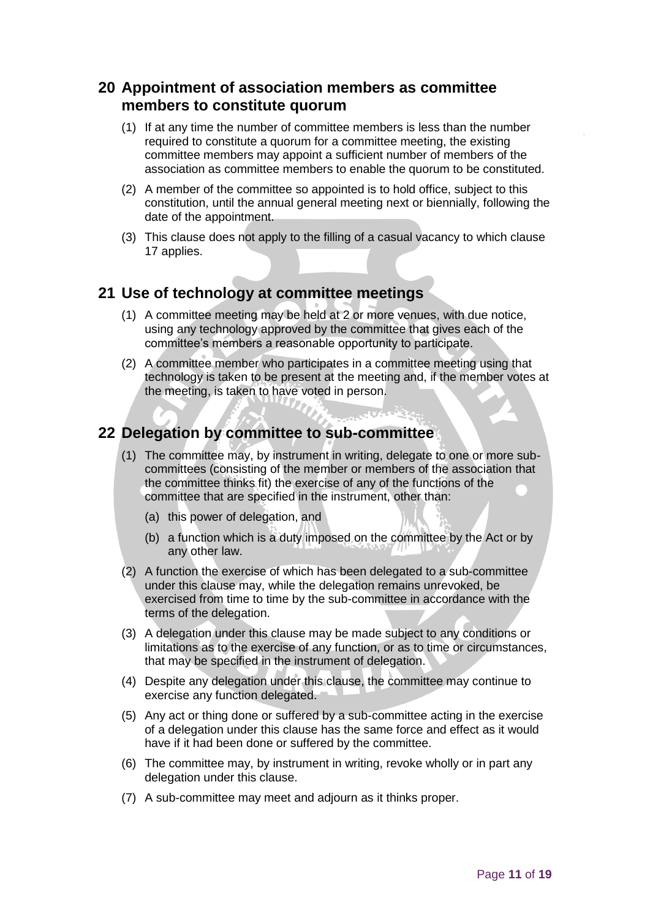## <span id="page-10-0"></span>**20 Appointment of association members as committee members to constitute quorum**

- (1) If at any time the number of committee members is less than the number required to constitute a quorum for a committee meeting, the existing committee members may appoint a sufficient number of members of the association as committee members to enable the quorum to be constituted.
- (2) A member of the committee so appointed is to hold office, subject to this constitution, until the annual general meeting next or biennially, following the date of the appointment.
- (3) This clause does not apply to the filling of a casual vacancy to which clause 17 applies.

## <span id="page-10-1"></span>**21 Use of technology at committee meetings**

- (1) A committee meeting may be held at 2 or more venues, with due notice, using any technology approved by the committee that gives each of the committee's members a reasonable opportunity to participate.
- (2) A committee member who participates in a committee meeting using that technology is taken to be present at the meeting and, if the member votes at the meeting, is taken to have voted in person.

## <span id="page-10-2"></span>**22 Delegation by committee to sub-committee**

- (1) The committee may, by instrument in writing, delegate to one or more subcommittees (consisting of the member or members of the association that the committee thinks fit) the exercise of any of the functions of the committee that are specified in the instrument, other than:
	- (a) this power of delegation, and
	- (b) a function which is a duty imposed on the committee by the Act or by any other law.
- (2) A function the exercise of which has been delegated to a sub-committee under this clause may, while the delegation remains unrevoked, be exercised from time to time by the sub-committee in accordance with the terms of the delegation.
- (3) A delegation under this clause may be made subject to any conditions or limitations as to the exercise of any function, or as to time or circumstances, that may be specified in the instrument of delegation.
- (4) Despite any delegation under this clause, the committee may continue to exercise any function delegated.
- (5) Any act or thing done or suffered by a sub-committee acting in the exercise of a delegation under this clause has the same force and effect as it would have if it had been done or suffered by the committee.
- (6) The committee may, by instrument in writing, revoke wholly or in part any delegation under this clause.
- (7) A sub-committee may meet and adjourn as it thinks proper.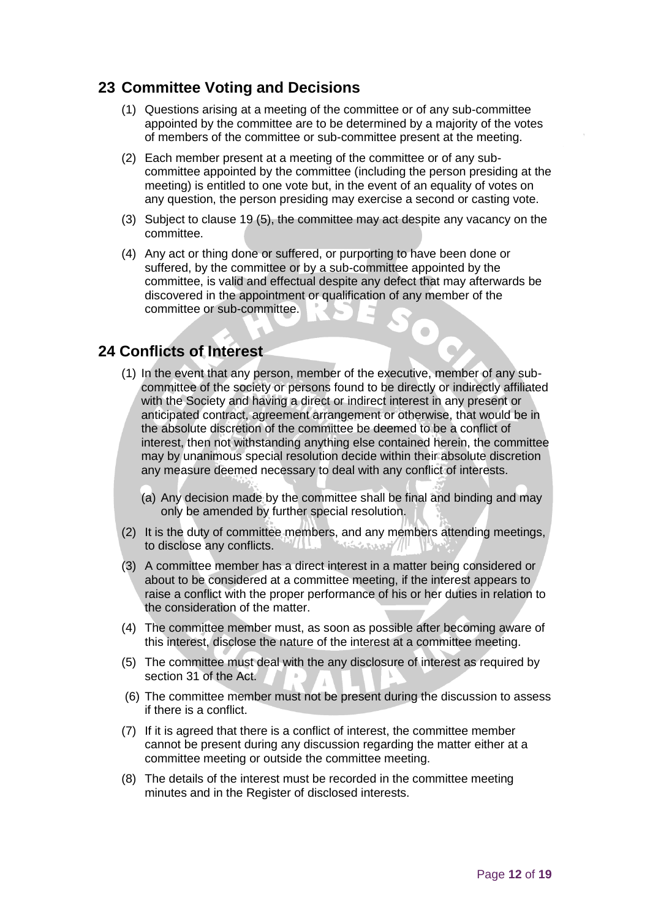## <span id="page-11-0"></span>**23 Committee Voting and Decisions**

- (1) Questions arising at a meeting of the committee or of any sub-committee appointed by the committee are to be determined by a majority of the votes of members of the committee or sub-committee present at the meeting.
- (2) Each member present at a meeting of the committee or of any subcommittee appointed by the committee (including the person presiding at the meeting) is entitled to one vote but, in the event of an equality of votes on any question, the person presiding may exercise a second or casting vote.
- (3) Subject to clause 19 (5), the committee may act despite any vacancy on the committee.
- (4) Any act or thing done or suffered, or purporting to have been done or suffered, by the committee or by a sub-committee appointed by the committee, is valid and effectual despite any defect that may afterwards be discovered in the appointment or qualification of any member of the committee or sub-committee.

 $\begin{array}{c} \begin{array}{c} \begin{array}{c} \begin{array}{c} \end{array} \end{array} \end{array} \end{array} \end{array}$ 

## **24 Conflicts of Interest**

- (1) In the event that any person, member of the executive, member of any subcommittee of the society or persons found to be directly or indirectly affiliated with the Society and having a direct or indirect interest in any present or anticipated contract, agreement arrangement or otherwise, that would be in the absolute discretion of the committee be deemed to be a conflict of interest, then not withstanding anything else contained herein, the committee may by unanimous special resolution decide within their absolute discretion any measure deemed necessary to deal with any conflict of interests.
	- (a) Any decision made by the committee shall be final and binding and may only be amended by further special resolution.
- (2) It is the duty of committee members, and any members attending meetings, to disclose any conflicts.  $''$  (  $\cup$ للطابع ومستنقل
- (3) A committee member has a direct interest in a matter being considered or about to be considered at a committee meeting, if the interest appears to raise a conflict with the proper performance of his or her duties in relation to the consideration of the matter.
- (4) The committee member must, as soon as possible after becoming aware of this interest, disclose the nature of the interest at a committee meeting.
- (5) The committee must deal with the any disclosure of interest as required by section 31 of the Act.
- (6) The committee member must not be present during the discussion to assess if there is a conflict.
- (7) If it is agreed that there is a conflict of interest, the committee member cannot be present during any discussion regarding the matter either at a committee meeting or outside the committee meeting.
- (8) The details of the interest must be recorded in the committee meeting minutes and in the Register of disclosed interests.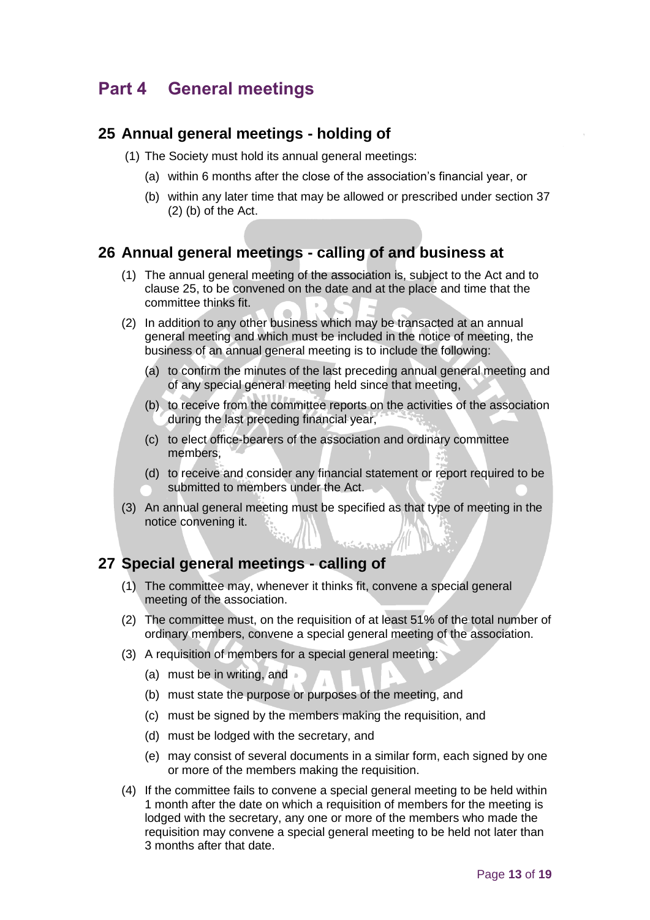## <span id="page-12-0"></span>**Part 4 General meetings**

### <span id="page-12-1"></span>**25 Annual general meetings - holding of**

- (1) The Society must hold its annual general meetings:
	- (a) within 6 months after the close of the association's financial year, or
	- (b) within any later time that may be allowed or prescribed under section 37 (2) (b) of the Act.

### <span id="page-12-2"></span>**26 Annual general meetings - calling of and business at**

- (1) The annual general meeting of the association is, subject to the Act and to clause 25, to be convened on the date and at the place and time that the committee thinks fit.
- (2) In addition to any other business which may be transacted at an annual general meeting and which must be included in the notice of meeting, the business of an annual general meeting is to include the following:
	- (a) to confirm the minutes of the last preceding annual general meeting and of any special general meeting held since that meeting,
	- (b) to receive from the committee reports on the activities of the association during the last preceding financial year,
	- (c) to elect office-bearers of the association and ordinary committee members,
	- (d) to receive and consider any financial statement or report required to be submitted to members under the Act.
- (3) An annual general meeting must be specified as that type of meeting in the notice convening it.

### <span id="page-12-3"></span>**27 Special general meetings - calling of**

- (1) The committee may, whenever it thinks fit, convene a special general meeting of the association.
- (2) The committee must, on the requisition of at least 51% of the total number of ordinary members, convene a special general meeting of the association.
- (3) A requisition of members for a special general meeting:
	- (a) must be in writing, and
	- (b) must state the purpose or purposes of the meeting, and
	- (c) must be signed by the members making the requisition, and
	- (d) must be lodged with the secretary, and
	- (e) may consist of several documents in a similar form, each signed by one or more of the members making the requisition.
- (4) If the committee fails to convene a special general meeting to be held within 1 month after the date on which a requisition of members for the meeting is lodged with the secretary, any one or more of the members who made the requisition may convene a special general meeting to be held not later than 3 months after that date.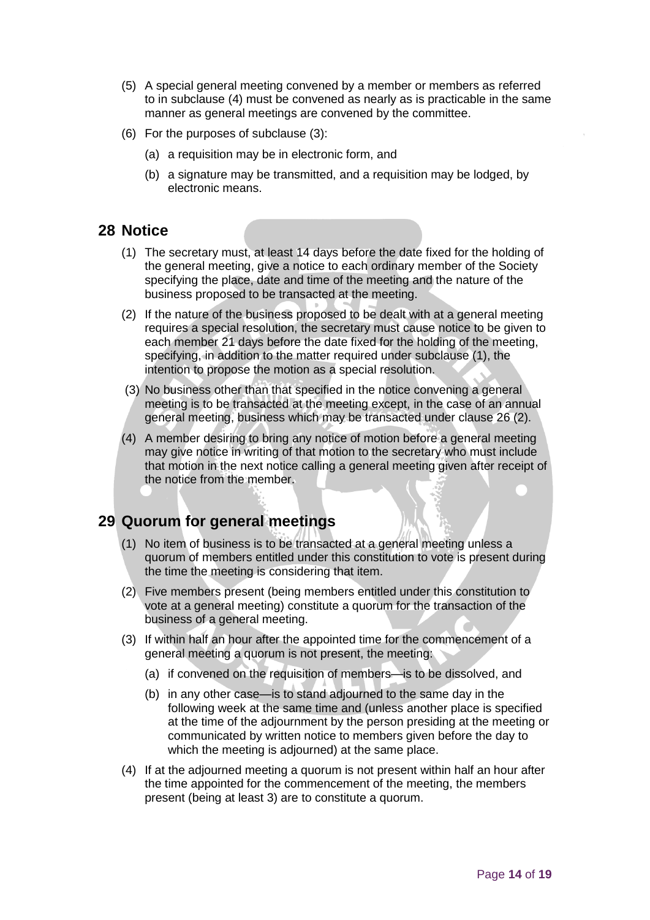- (5) A special general meeting convened by a member or members as referred to in subclause (4) must be convened as nearly as is practicable in the same manner as general meetings are convened by the committee.
- (6) For the purposes of subclause (3):
	- (a) a requisition may be in electronic form, and
	- (b) a signature may be transmitted, and a requisition may be lodged, by electronic means.

## <span id="page-13-0"></span>**28 Notice**

- (1) The secretary must, at least 14 days before the date fixed for the holding of the general meeting, give a notice to each ordinary member of the Society specifying the place, date and time of the meeting and the nature of the business proposed to be transacted at the meeting.
- (2) If the nature of the business proposed to be dealt with at a general meeting requires a special resolution, the secretary must cause notice to be given to each member 21 days before the date fixed for the holding of the meeting, specifying, in addition to the matter required under subclause (1), the intention to propose the motion as a special resolution.
- (3) No business other than that specified in the notice convening a general meeting is to be transacted at the meeting except, in the case of an annual general meeting, business which may be transacted under clause 26 (2).
- (4) A member desiring to bring any notice of motion before a general meeting may give notice in writing of that motion to the secretary who must include that motion in the next notice calling a general meeting given after receipt of the notice from the member.

## <span id="page-13-1"></span>**29 Quorum for general meetings**

- (1) No item of business is to be transacted at a general meeting unless a quorum of members entitled under this constitution to vote is present during the time the meeting is considering that item.
- (2) Five members present (being members entitled under this constitution to vote at a general meeting) constitute a quorum for the transaction of the business of a general meeting.
- (3) If within half an hour after the appointed time for the commencement of a general meeting a quorum is not present, the meeting:
	- (a) if convened on the requisition of members—is to be dissolved, and
	- (b) in any other case—is to stand adjourned to the same day in the following week at the same time and (unless another place is specified at the time of the adjournment by the person presiding at the meeting or communicated by written notice to members given before the day to which the meeting is adjourned) at the same place.
- (4) If at the adjourned meeting a quorum is not present within half an hour after the time appointed for the commencement of the meeting, the members present (being at least 3) are to constitute a quorum.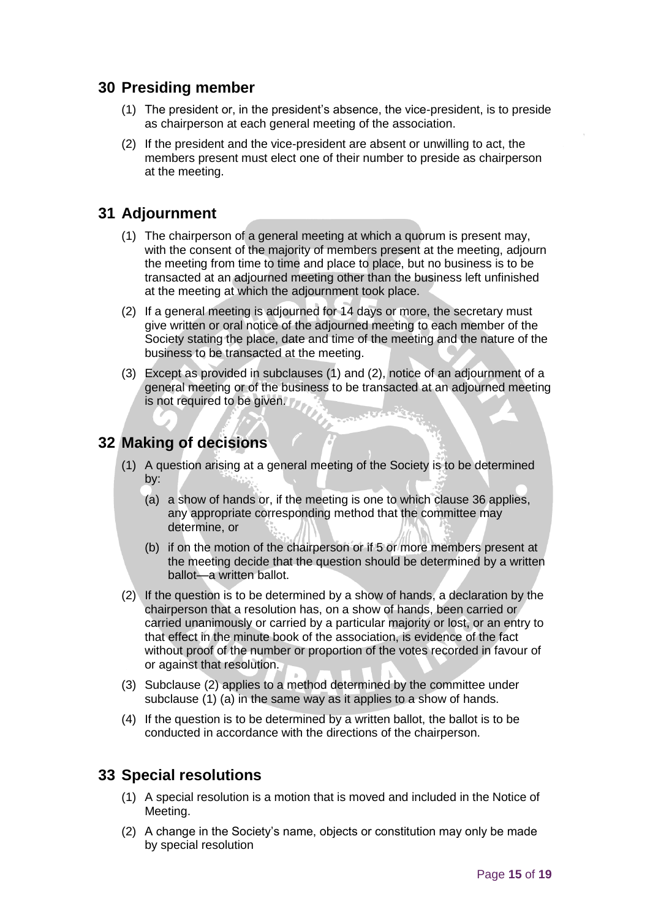## <span id="page-14-0"></span>**30 Presiding member**

- (1) The president or, in the president's absence, the vice-president, is to preside as chairperson at each general meeting of the association.
- (2) If the president and the vice-president are absent or unwilling to act, the members present must elect one of their number to preside as chairperson at the meeting.

## <span id="page-14-1"></span>**31 Adjournment**

- (1) The chairperson of a general meeting at which a quorum is present may, with the consent of the majority of members present at the meeting, adjourn the meeting from time to time and place to place, but no business is to be transacted at an adjourned meeting other than the business left unfinished at the meeting at which the adjournment took place.
- (2) If a general meeting is adjourned for 14 days or more, the secretary must give written or oral notice of the adjourned meeting to each member of the Society stating the place, date and time of the meeting and the nature of the business to be transacted at the meeting.
- (3) Except as provided in subclauses (1) and (2), notice of an adjournment of a general meeting or of the business to be transacted at an adjourned meeting is not required to be given.

## <span id="page-14-2"></span>**32 Making of decisions**

- (1) A question arising at a general meeting of the Society is to be determined by:
	- (a) a show of hands or, if the meeting is one to which clause 36 applies, any appropriate corresponding method that the committee may determine, or
	- (b) if on the motion of the chairperson or if 5 or more members present at the meeting decide that the question should be determined by a written ballot—a written ballot.
- (2) If the question is to be determined by a show of hands, a declaration by the chairperson that a resolution has, on a show of hands, been carried or carried unanimously or carried by a particular majority or lost, or an entry to that effect in the minute book of the association, is evidence of the fact without proof of the number or proportion of the votes recorded in favour of or against that resolution.
- (3) Subclause (2) applies to a method determined by the committee under subclause (1) (a) in the same way as it applies to a show of hands.
- (4) If the question is to be determined by a written ballot, the ballot is to be conducted in accordance with the directions of the chairperson.

## <span id="page-14-3"></span>**33 Special resolutions**

- (1) A special resolution is a motion that is moved and included in the Notice of Meeting.
- (2) A change in the Society's name, objects or constitution may only be made by special resolution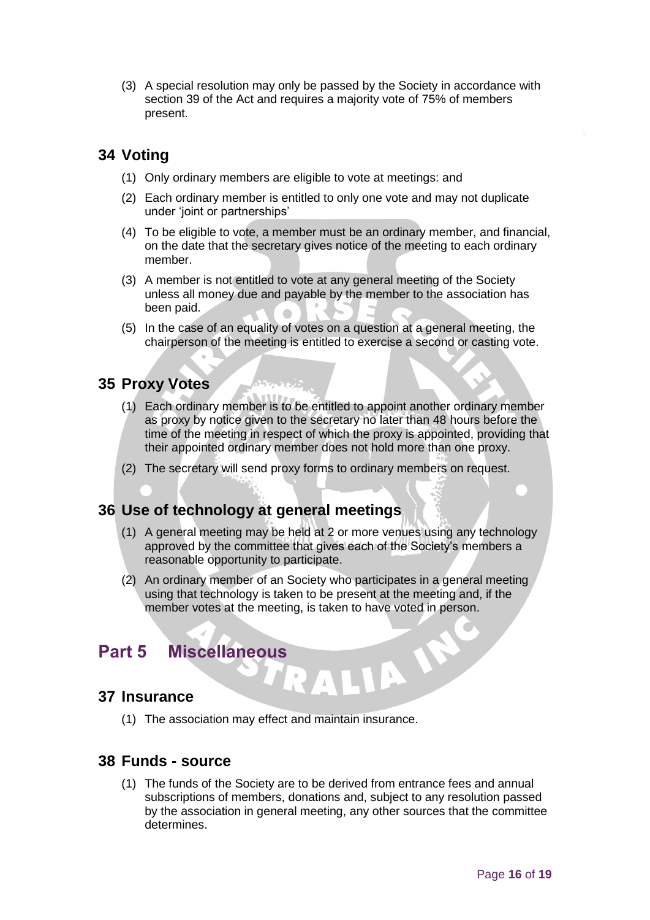(3) A special resolution may only be passed by the Society in accordance with section 39 of the Act and requires a majority vote of 75% of members present.

## <span id="page-15-0"></span>**34 Voting**

- (1) Only ordinary members are eligible to vote at meetings: and
- (2) Each ordinary member is entitled to only one vote and may not duplicate under 'joint or partnerships'
- (4) To be eligible to vote, a member must be an ordinary member, and financial, on the date that the secretary gives notice of the meeting to each ordinary member.
- (3) A member is not entitled to vote at any general meeting of the Society unless all money due and payable by the member to the association has been paid.
- (5) In the case of an equality of votes on a question at a general meeting, the chairperson of the meeting is entitled to exercise a second or casting vote.

## <span id="page-15-1"></span>**35 Proxy Votes**

- (1) Each ordinary member is to be entitled to appoint another ordinary member as proxy by notice given to the secretary no later than 48 hours before the time of the meeting in respect of which the proxy is appointed, providing that their appointed ordinary member does not hold more than one proxy.
- (2) The secretary will send proxy forms to ordinary members on request.

## <span id="page-15-2"></span>**36 Use of technology at general meetings**

- (1) A general meeting may be held at 2 or more venues using any technology approved by the committee that gives each of the Society's members a reasonable opportunity to participate.
- (2) An ordinary member of an Society who participates in a general meeting using that technology is taken to be present at the meeting and, if the member votes at the meeting, is taken to have voted in person.

LIA IS

## <span id="page-15-3"></span>**Part 5 Miscellaneous**

### <span id="page-15-4"></span>**37 Insurance**

(1) The association may effect and maintain insurance.

## <span id="page-15-5"></span>**38 Funds - source**

(1) The funds of the Society are to be derived from entrance fees and annual subscriptions of members, donations and, subject to any resolution passed by the association in general meeting, any other sources that the committee determines.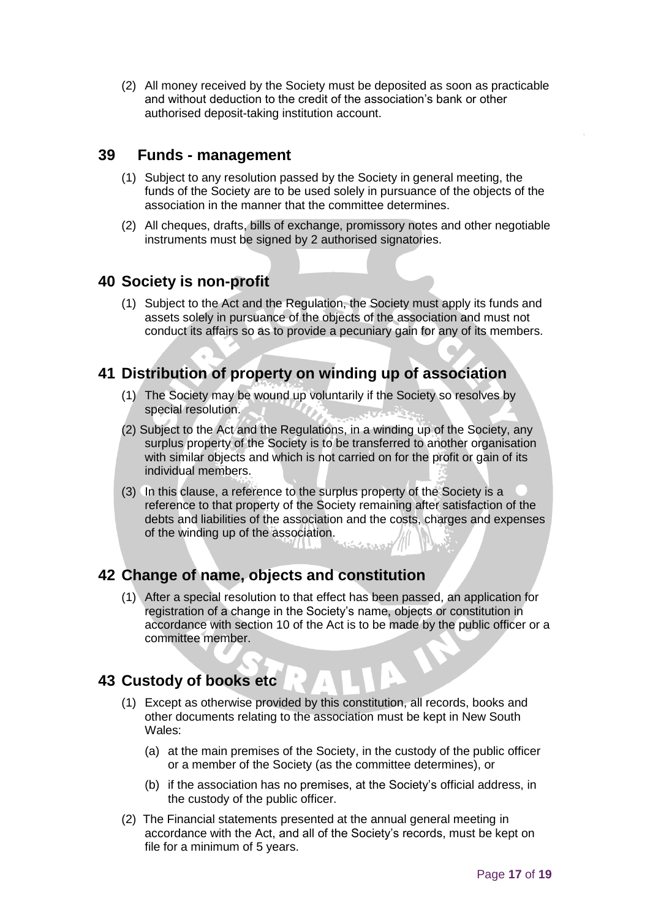(2) All money received by the Society must be deposited as soon as practicable and without deduction to the credit of the association's bank or other authorised deposit-taking institution account.

## <span id="page-16-0"></span>**39 Funds - management**

- (1) Subject to any resolution passed by the Society in general meeting, the funds of the Society are to be used solely in pursuance of the objects of the association in the manner that the committee determines.
- (2) All cheques, drafts, bills of exchange, promissory notes and other negotiable instruments must be signed by 2 authorised signatories.

## <span id="page-16-1"></span>**40 Society is non-profit**

(1) Subject to the Act and the Regulation, the Society must apply its funds and assets solely in pursuance of the objects of the association and must not conduct its affairs so as to provide a pecuniary gain for any of its members.

## <span id="page-16-2"></span>**41 Distribution of property on winding up of association**

- (1) The Society may be wound up voluntarily if the Society so resolves by special resolution.
- (2) Subject to the Act and the Regulations, in a winding up of the Society, any surplus property of the Society is to be transferred to another organisation with similar objects and which is not carried on for the profit or gain of its individual members.
- (3) In this clause, a reference to the surplus property of the Society is a reference to that property of the Society remaining after satisfaction of the debts and liabilities of the association and the costs, charges and expenses of the winding up of the association.

## <span id="page-16-3"></span>**42 Change of name, objects and constitution**

(1) After a special resolution to that effect has been passed, an application for registration of a change in the Society's name, objects or constitution in accordance with section 10 of the Act is to be made by the public officer or a committee member.

## <span id="page-16-4"></span>**43 Custody of books etc**

- (1) Except as otherwise provided by this constitution, all records, books and other documents relating to the association must be kept in New South Wales:
	- (a) at the main premises of the Society, in the custody of the public officer or a member of the Society (as the committee determines), or
	- (b) if the association has no premises, at the Society's official address, in the custody of the public officer.
- (2) The Financial statements presented at the annual general meeting in accordance with the Act, and all of the Society's records, must be kept on file for a minimum of 5 years.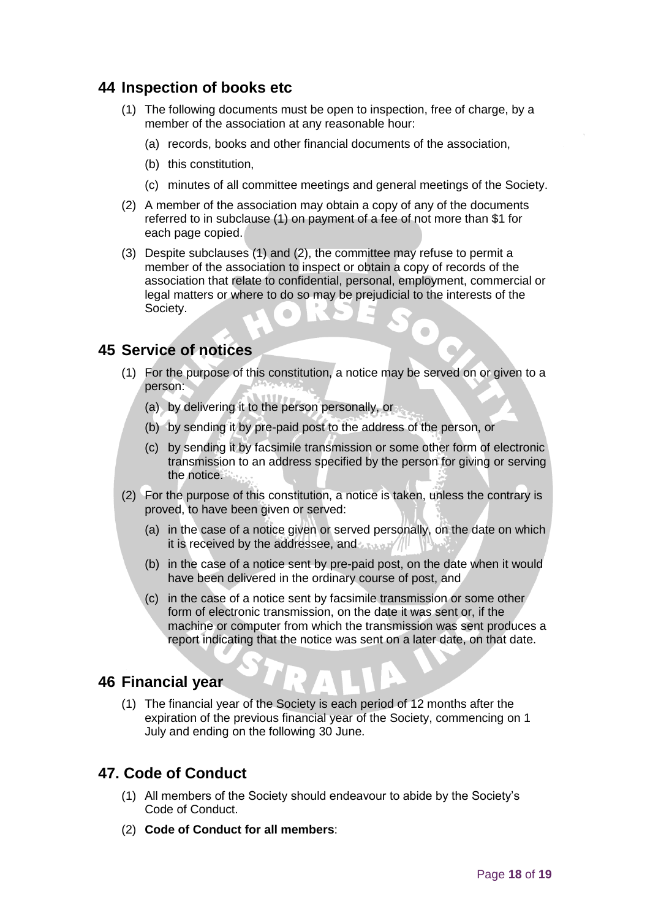## <span id="page-17-0"></span>**44 Inspection of books etc**

- (1) The following documents must be open to inspection, free of charge, by a member of the association at any reasonable hour:
	- (a) records, books and other financial documents of the association,
	- (b) this constitution,
	- (c) minutes of all committee meetings and general meetings of the Society.
- (2) A member of the association may obtain a copy of any of the documents referred to in subclause (1) on payment of a fee of not more than \$1 for each page copied.
- (3) Despite subclauses (1) and (2), the committee may refuse to permit a member of the association to inspect or obtain a copy of records of the association that relate to confidential, personal, employment, commercial or legal matters or where to do so may be prejudicial to the interests of the Society.

## <span id="page-17-1"></span>**45 Service of notices**

- (1) For the purpose of this constitution, a notice may be served on or given to a person:
	- (a) by delivering it to the person personally, or
	- (b) by sending it by pre-paid post to the address of the person, or
	- (c) by sending it by facsimile transmission or some other form of electronic transmission to an address specified by the person for giving or serving the notice.
- (2) For the purpose of this constitution, a notice is taken, unless the contrary is proved, to have been given or served:
	- (a) in the case of a notice given or served personally, on the date on which it is received by the addressee, and
	- (b) in the case of a notice sent by pre-paid post, on the date when it would have been delivered in the ordinary course of post, and
	- (c) in the case of a notice sent by facsimile transmission or some other form of electronic transmission, on the date it was sent or, if the machine or computer from which the transmission was sent produces a report indicating that the notice was sent on a later date, on that date.

### <span id="page-17-2"></span>**46 Financial year**

(1) The financial year of the Society is each period of 12 months after the expiration of the previous financial year of the Society, commencing on 1 July and ending on the following 30 June.

### **47. Code of Conduct**

- (1) All members of the Society should endeavour to abide by the Society's Code of Conduct.
- (2) **Code of Conduct for all members**: